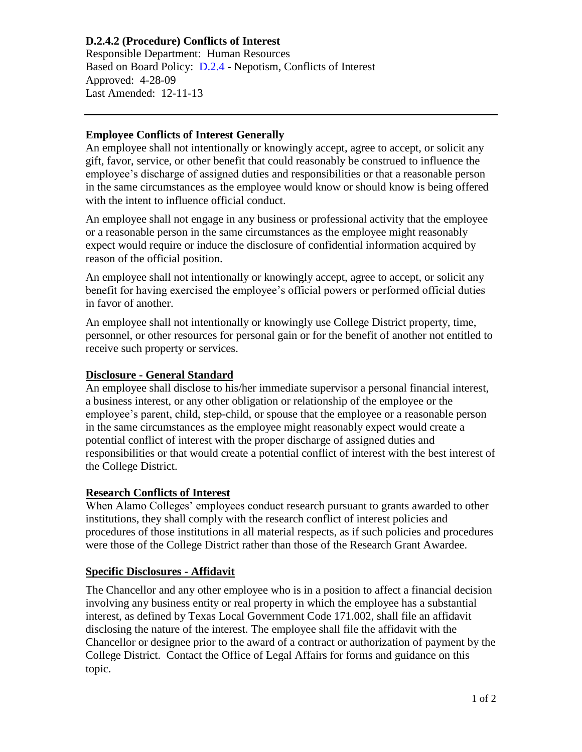# **D.2.4.2 (Procedure) Conflicts of Interest**

Responsible Department: Human Resources Based on Board Policy: [D.2.4](https://www.alamo.edu/siteassets/district/about-us/leadership/board-of-trustees/policies-pdfs/section-d/d.2.4-policy.pdf) - Nepotism, Conflicts of Interest Approved: 4-28-09 Last Amended: 12-11-13

### **Employee Conflicts of Interest Generally**

An employee shall not intentionally or knowingly accept, agree to accept, or solicit any gift, favor, service, or other benefit that could reasonably be construed to influence the employee's discharge of assigned duties and responsibilities or that a reasonable person in the same circumstances as the employee would know or should know is being offered with the intent to influence official conduct.

An employee shall not engage in any business or professional activity that the employee or a reasonable person in the same circumstances as the employee might reasonably expect would require or induce the disclosure of confidential information acquired by reason of the official position.

An employee shall not intentionally or knowingly accept, agree to accept, or solicit any benefit for having exercised the employee's official powers or performed official duties in favor of another.

An employee shall not intentionally or knowingly use College District property, time, personnel, or other resources for personal gain or for the benefit of another not entitled to receive such property or services.

## **Disclosure - General Standard**

An employee shall disclose to his/her immediate supervisor a personal financial interest, a business interest, or any other obligation or relationship of the employee or the employee's parent, child, step-child, or spouse that the employee or a reasonable person in the same circumstances as the employee might reasonably expect would create a potential conflict of interest with the proper discharge of assigned duties and responsibilities or that would create a potential conflict of interest with the best interest of the College District.

### **Research Conflicts of Interest**

When Alamo Colleges' employees conduct research pursuant to grants awarded to other institutions, they shall comply with the research conflict of interest policies and procedures of those institutions in all material respects, as if such policies and procedures were those of the College District rather than those of the Research Grant Awardee.

## **Specific Disclosures - Affidavit**

The Chancellor and any other employee who is in a position to affect a financial decision involving any business entity or real property in which the employee has a substantial interest, as defined by Texas Local Government Code 171.002, shall file an affidavit disclosing the nature of the interest. The employee shall file the affidavit with the Chancellor or designee prior to the award of a contract or authorization of payment by the College District. Contact the Office of Legal Affairs for forms and guidance on this topic.